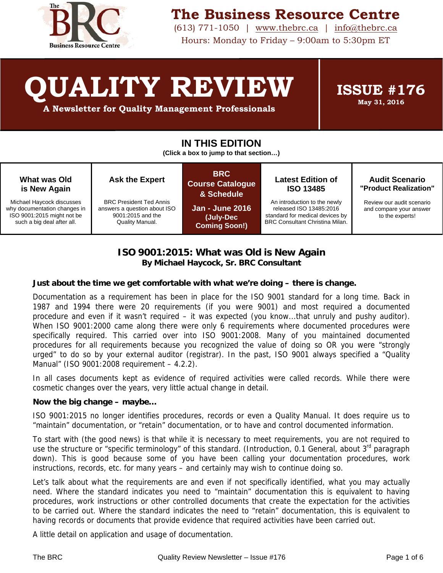

# **The Business Resource Centre**

(613) 771-1050 | www.thebrc.ca | info@thebrc.ca Hours: Monday to Friday – 9:00am to 5:30pm ET

# **QUALITY REVIEW**

**A Newsletter for Quality Management Professionals** 

**ISSUE #176 May 31, 2016** 

# **IN THIS EDITION**

**(Click a box to jump to that section…)** 

| What was Old<br>is New Again                                                                                          | <b>Ask the Expert</b>                                                                                  | <b>BRC</b><br><b>Course Catalogue</b><br>& Schedule          | <b>Latest Edition of</b><br><b>ISO 13485</b>                                                                                         | <b>Audit Scenario</b><br>"Product Realization"                          |
|-----------------------------------------------------------------------------------------------------------------------|--------------------------------------------------------------------------------------------------------|--------------------------------------------------------------|--------------------------------------------------------------------------------------------------------------------------------------|-------------------------------------------------------------------------|
| Michael Haycock discusses<br>why documentation changes in<br>ISO 9001:2015 might not be<br>such a big deal after all. | <b>BRC President Ted Annis</b><br>answers a question about ISO<br>9001:2015 and the<br>Quality Manual. | <b>Jan - June 2016</b><br>(July-Dec)<br><b>Coming Soon!)</b> | An introduction to the newly<br>released ISO 13485:2016<br>standard for medical devices by<br><b>BRC Consultant Christina Milan.</b> | Review our audit scenario<br>and compare your answer<br>to the experts! |

# **ISO 9001:2015: What was Old is New Again By Michael Haycock, Sr. BRC Consultant**

#### **Just about the time we get comfortable with what we're doing – there is change.**

Documentation as a requirement has been in place for the ISO 9001 standard for a long time. Back in 1987 and 1994 there were 20 requirements (if you were 9001) and most required a documented procedure and even if it wasn't required – it was expected (you know...that unruly and pushy auditor). When ISO 9001:2000 came along there were only 6 requirements where documented procedures were specifically required. This carried over into ISO 9001:2008. Many of you maintained documented procedures for all requirements because you recognized the value of doing so OR you were "strongly urged" to do so by your external auditor (registrar). In the past, ISO 9001 always specified a "Quality Manual" (ISO 9001:2008 requirement – 4.2.2).

In all cases documents kept as evidence of required activities were called records. While there were cosmetic changes over the years, very little actual change in detail.

#### **Now the big change – maybe…**

ISO 9001:2015 no longer identifies procedures, records or even a Quality Manual. It does require us to "maintain" documentation, or "retain" documentation, or to have and control documented information.

To start with (the good news) is that while it is necessary to meet requirements, you are not required to use the structure or "specific terminology" of this standard. (Introduction, 0.1 General, about 3rd paragraph down). This is good because some of you have been calling your documentation procedures, work instructions, records, etc. for many years – and certainly may wish to continue doing so.

Let's talk about what the requirements are and even if not specifically identified, what you may actually need. Where the standard indicates you need to "maintain" documentation this is equivalent to having procedures, work instructions or other controlled documents that create the expectation for the activities to be carried out. Where the standard indicates the need to "retain" documentation, this is equivalent to having records or documents that provide evidence that required activities have been carried out.

A little detail on application and usage of documentation.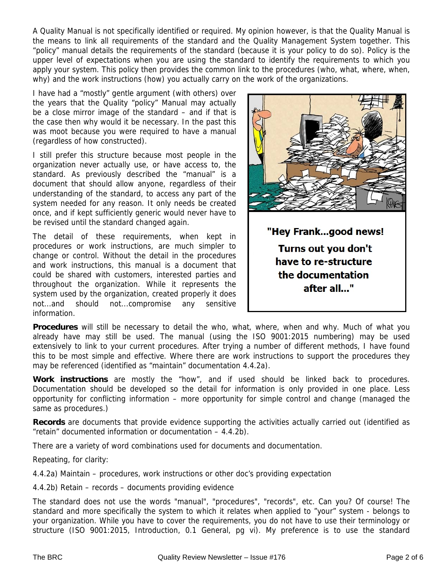A Quality Manual is not specifically identified or required. My opinion however, is that the Quality Manual is the means to link all requirements of the standard and the Quality Management System together. This "policy" manual details the requirements of the standard (because it is your policy to do so). Policy is the upper level of expectations when you are using the standard to identify the requirements to which you apply your system. This policy then provides the common link to the procedures (who, what, where, when, why) and the work instructions (how) you actually carry on the work of the organizations.

I have had a "mostly" gentle argument (with others) over the years that the Quality "policy" Manual may actually be a close mirror image of the standard – and if that is the case then why would it be necessary. In the past this was moot because you were required to have a manual (regardless of how constructed).

I still prefer this structure because most people in the organization never actually use, or have access to, the standard. As previously described the "manual" is a document that should allow anyone, regardless of their understanding of the standard, to access any part of the system needed for any reason. It only needs be created once, and if kept sufficiently generic would never have to be revised until the standard changed again.

The detail of these requirements, when kept in procedures or work instructions, are much simpler to change or control. Without the detail in the procedures and work instructions, this manual is a document that could be shared with customers, interested parties and throughout the organization. While it represents the system used by the organization, created properly it does not...and should not...compromise any sensitive information.



**Procedures** will still be necessary to detail the who, what, where, when and why. Much of what you already have may still be used. The manual (using the ISO 9001:2015 numbering) may be used extensively to link to your current procedures. After trying a number of different methods, I have found this to be most simple and effective. Where there are work instructions to support the procedures they may be referenced (identified as "maintain" documentation 4.4.2a).

**Work instructions** are mostly the "how", and if used should be linked back to procedures. Documentation should be developed so the detail for information is only provided in one place. Less opportunity for conflicting information – more opportunity for simple control and change (managed the same as procedures.)

**Records** are documents that provide evidence supporting the activities actually carried out (identified as "retain" documented information or documentation – 4.4.2b).

There are a variety of word combinations used for documents and documentation.

Repeating, for clarity:

4.4.2a) Maintain – procedures, work instructions or other doc's providing expectation

4.4.2b) Retain – records – documents providing evidence

The standard does not use the words "manual", "procedures", "records", etc. Can you? Of course! The standard and more specifically the system to which it relates when applied to "your" system - belongs to your organization. While you have to cover the requirements, you do not have to use their terminology or structure (ISO 9001:2015, Introduction, 0.1 General, pg vi). My preference is to use the standard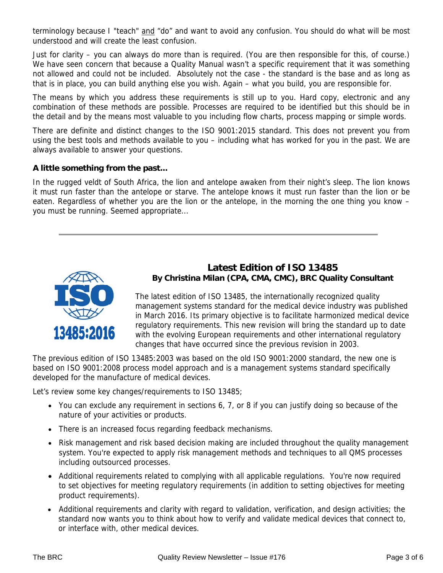<span id="page-2-0"></span>terminology because I "teach" and "do" and want to avoid any confusion. You should do what will be most understood and will create the least confusion.

Just for clarity – you can always do more than is required. (You are then responsible for this, of course.) We have seen concern that because a Quality Manual wasn't a specific requirement that it was something not allowed and could not be included. Absolutely not the case - the standard is the base and as long as that is in place, you can build anything else you wish. Again – what you build, you are responsible for.

The means by which you address these requirements is still up to you. Hard copy, electronic and any combination of these methods are possible. Processes are required to be identified but this should be in the detail and by the means most valuable to you including flow charts, process mapping or simple words.

There are definite and distinct changes to the ISO 9001:2015 standard. This does not prevent you from using the best tools and methods available to you – including what has worked for you in the past. We are always available to answer your questions.

#### **A little something from the past...**

In the rugged veldt of South Africa, the lion and antelope awaken from their night's sleep. The lion knows it must run faster than the antelope or starve. The antelope knows it must run faster than the lion or be eaten. Regardless of whether you are the lion or the antelope, in the morning the one thing you know – you must be running. Seemed appropriate...



# **Latest Edition of ISO 13485 By Christina Milan (CPA, CMA, CMC), BRC Quality Consultant**

The latest edition of ISO 13485, the internationally recognized quality management systems standard for the medical device industry was published in March 2016. Its primary objective is to facilitate harmonized medical device regulatory requirements. This new revision will bring the standard up to date with the evolving European requirements and other international regulatory changes that have occurred since the previous revision in 2003.

The previous edition of ISO 13485:2003 was based on the old ISO 9001:2000 standard, the new one is based on ISO 9001:2008 process model approach and is a management systems standard specifically developed for the manufacture of medical devices.

Let's review some key changes/requirements to ISO 13485;

- You can exclude any requirement in sections 6, 7, or 8 if you can justify doing so because of the nature of your activities or products.
- There is an increased focus regarding feedback mechanisms.
- Risk management and risk based decision making are included throughout the quality management system. You're expected to apply risk management methods and techniques to all QMS processes including outsourced processes.
- Additional requirements related to complying with all applicable regulations. You're now required to set objectives for meeting regulatory requirements (in addition to setting objectives for meeting product requirements).
- Additional requirements and clarity with regard to validation, verification, and design activities; the standard now wants you to think about how to verify and validate medical devices that connect to, or interface with, other medical devices.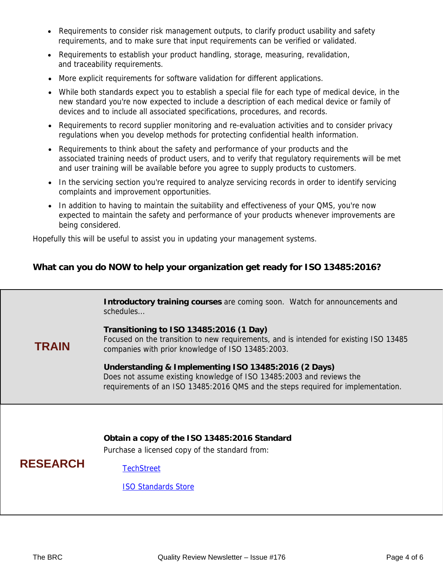- Requirements to consider risk management outputs, to clarify product usability and safety requirements, and to make sure that input requirements can be verified or validated.
- Requirements to establish your product handling, storage, measuring, revalidation, and traceability requirements.
- More explicit requirements for software validation for different applications.
- While both standards expect you to establish a special file for each type of medical device, in the new standard you're now expected to include a description of each medical device or family of devices and to include all associated specifications, procedures, and records.
- Requirements to record supplier monitoring and re-evaluation activities and to consider privacy regulations when you develop methods for protecting confidential health information.
- Requirements to think about the safety and performance of your products and the associated training needs of product users, and to verify that regulatory requirements will be met and user training will be available before you agree to supply products to customers.
- In the servicing section you're required to analyze servicing records in order to identify servicing complaints and improvement opportunities.
- In addition to having to maintain the suitability and effectiveness of your QMS, you're now expected to maintain the safety and performance of your products whenever improvements are being considered.

Hopefully this will be useful to assist you in updating your management systems.

### **What can you do NOW to help your organization get ready for ISO 13485:2016?**

**Introductory training courses** are coming soon. Watch for announcements and schedules...

**Transitioning to ISO 13485:2016 (1 Day)** 

Focused on the transition to new requirements, and is intended for existing ISO 13485 companies with prior knowledge of ISO 13485:2003.

#### **Understanding & Implementing ISO 13485:2016 (2 Days)**

Does not assume existing knowledge of ISO 13485:2003 and reviews the requirements of an ISO 13485:2016 QMS and the steps required for implementation.

#### **Obtain a copy of the ISO 13485:2016 Standard**

Purchase a licensed copy of the standard from:

# **RESEARCH**

**TRAIN** 

**[TechStreet](http://www.techstreet.com/standards/iso-13485-2016?sid=goog&gclid=CPzY3PmMgs0CFQIOaQodQzMN6w&product_id=1911165)** 

[ISO Standards Store](http://www.iso.org/iso/home/store/catalogue_tc/catalogue_detail.htm?csnumber=59752)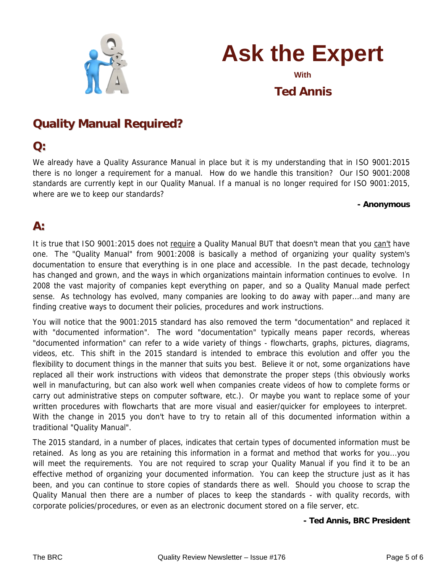<span id="page-4-0"></span>



# **Ted Annis**

# **Quality Manual Required?**

# **Q:**

We already have a Quality Assurance Manual in place but it is my understanding that in ISO 9001:2015 there is no longer a requirement for a manual. How do we handle this transition? Our ISO 9001:2008 standards are currently kept in our Quality Manual. If a manual is no longer required for ISO 9001:2015, where are we to keep our standards?

#### **- Anonymous**

# **A:**

It is true that ISO 9001:2015 does not require a Quality Manual BUT that doesn't mean that you can't have one. The "Quality Manual" from 9001:2008 is basically a method of organizing your quality system's documentation to ensure that everything is in one place and accessible. In the past decade, technology has changed and grown, and the ways in which organizations maintain information continues to evolve. In 2008 the vast majority of companies kept everything on paper, and so a Quality Manual made perfect sense. As technology has evolved, many companies are looking to do away with paper...and many are finding creative ways to document their policies, procedures and work instructions.

You will notice that the 9001:2015 standard has also removed the term "documentation" and replaced it with "documented information". The word "documentation" typically means paper records, whereas "documented information" can refer to a wide variety of things - flowcharts, graphs, pictures, diagrams, videos, etc. This shift in the 2015 standard is intended to embrace this evolution and offer you the flexibility to document things in the manner that suits you best. Believe it or not, some organizations have replaced all their work instructions with videos that demonstrate the proper steps (this obviously works well in manufacturing, but can also work well when companies create videos of how to complete forms or carry out administrative steps on computer software, etc.). Or maybe you want to replace some of your written procedures with flowcharts that are more visual and easier/quicker for employees to interpret. With the change in 2015 you don't have to try to retain all of this documented information within a traditional "Quality Manual".

The 2015 standard, in a number of places, indicates that certain types of documented information must be retained. As long as you are retaining this information in a format and method that works for you...you will meet the requirements. You are not required to scrap your Quality Manual if you find it to be an effective method of organizing your documented information. You can keep the structure just as it has been, and you can continue to store copies of standards there as well. Should you choose to scrap the Quality Manual then there are a number of places to keep the standards - with quality records, with corporate policies/procedures, or even as an electronic document stored on a file server, etc.

#### **- Ted Annis, BRC President**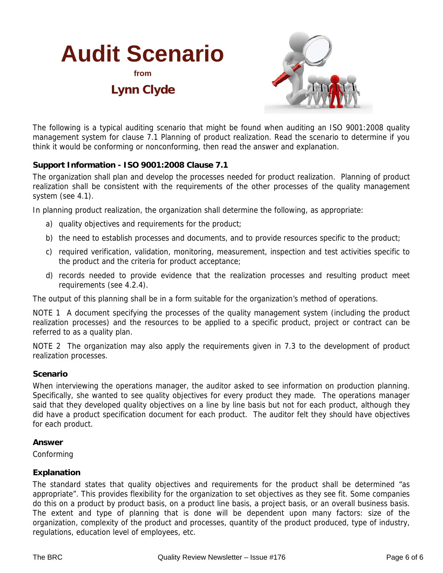<span id="page-5-0"></span>

# **Lynn Clyde**



The following is a typical auditing scenario that might be found when auditing an ISO 9001:2008 quality management system for clause 7.1 Planning of product realization. Read the scenario to determine if you think it would be conforming or nonconforming, then read the answer and explanation.

#### **Support Information - ISO 9001:2008 Clause 7.1**

The organization shall plan and develop the processes needed for product realization. Planning of product realization shall be consistent with the requirements of the other processes of the quality management system (see 4.1).

In planning product realization, the organization shall determine the following, as appropriate:

- a) quality objectives and requirements for the product;
- b) the need to establish processes and documents, and to provide resources specific to the product;
- c) required verification, validation, monitoring, measurement, inspection and test activities specific to the product and the criteria for product acceptance;
- d) records needed to provide evidence that the realization processes and resulting product meet requirements (see 4.2.4).

The output of this planning shall be in a form suitable for the organization's method of operations.

NOTE 1 A document specifying the processes of the quality management system (including the product realization processes) and the resources to be applied to a specific product, project or contract can be referred to as a quality plan.

NOTE 2 The organization may also apply the requirements given in 7.3 to the development of product realization processes.

#### **Scenario**

When interviewing the operations manager, the auditor asked to see information on production planning. Specifically, she wanted to see quality objectives for every product they made. The operations manager said that they developed quality objectives on a line by line basis but not for each product, although they did have a product specification document for each product. The auditor felt they should have objectives for each product.

#### **Answer**

Conforming

#### **Explanation**

The standard states that quality objectives and requirements for the product shall be determined "as appropriate". This provides flexibility for the organization to set objectives as they see fit. Some companies do this on a product by product basis, on a product line basis, a project basis, or an overall business basis. The extent and type of planning that is done will be dependent upon many factors: size of the organization, complexity of the product and processes, quantity of the product produced, type of industry, regulations, education level of employees, etc.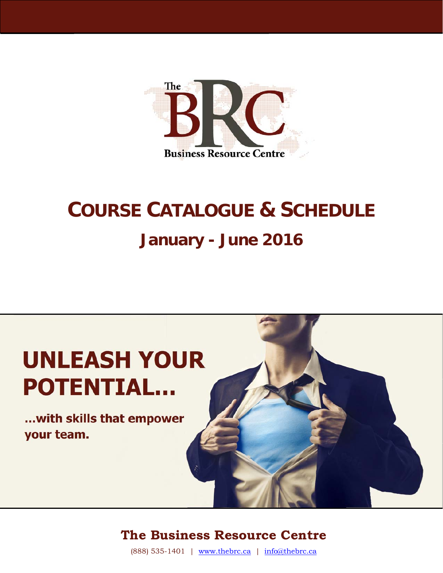

# **COURSE CATALOGUE & SCHEDULE January - June 2016**

# **UNLEASH YOUR POTENTIAL...**

... with skills that empower your team.



# **The Business Resource Centre**

(888) 535-1401 | www.thebrc.ca | info@thebrc.ca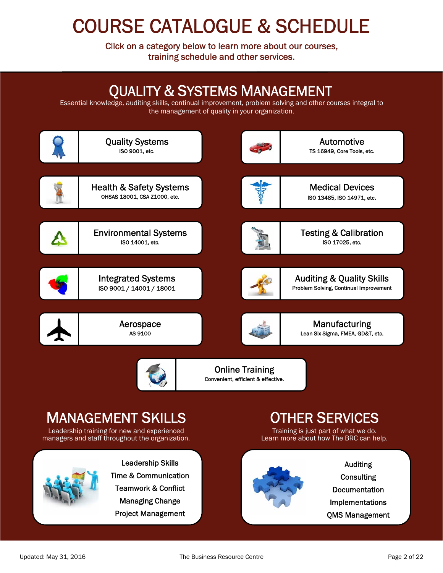# COURSE CATALOGUE & SCHEDULE

Click on a category below to learn more about our courses, training schedule and other services.



managers and staff throughout the organization.



Leadership Skills [Time & Communication](#page-26-0)  Teamwork & Conflict Managing Change Project Management



Auditing **Consulting** Documentation Implementations [QMS Management](#page-27-0) 

<span id="page-7-0"></span>l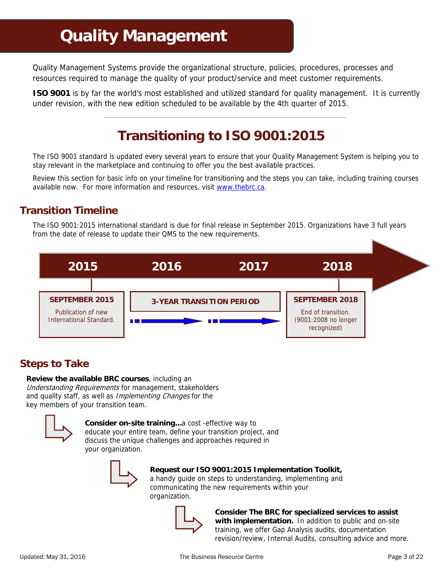# **Quality Management**

<span id="page-8-0"></span>Quality Management Systems provide the organizational structure, policies, procedures, processes and resources required to manage the quality of your product/service and meet customer requirements.

**ISO 9001** is by far the world's most established and utilized standard for quality management. It is currently under revision, with the new edition scheduled to be available by the 4th quarter of 2015.

# **Transitioning to ISO 9001:2015**

The ISO 9001 standard is updated every several years to ensure that your Quality Management System is helping you to stay relevant in the marketplace and continuing to offer you the best available practices.

Review this section for basic info on your timeline for transitioning and the steps you can take, including training courses available now. For more information and resources, vis[it www.thebrc.ca.](mailto:info@thebrc.ca) 

# **Transition Timeline**

The ISO 9001:2015 international standard is due for final release in September 2015. Organizations have 3 full years from the date of release to update their QMS to the new requirements.



# **Steps to Take**

**Review the available BRC courses**, including an Understanding Requirements for management, stakeholders and quality staff, as well as Implementing Changes for the key members of your transition team.



**Consider on-site training...**a cost -effective way to educate your entire team, define your transition project, and discuss the unique challenges and approaches required in your organization.



#### **Request our ISO 9001:2015 Implementation Toolkit,**

a handy guide on steps to understanding, implementing and communicating the new requirements within your organization.



**Consider The BRC for specialized services to assist with implementation.** In addition to public and on-site training, we offer Gap Analysis audits, documentation revision/review, Internal Audits, consulting advice and more.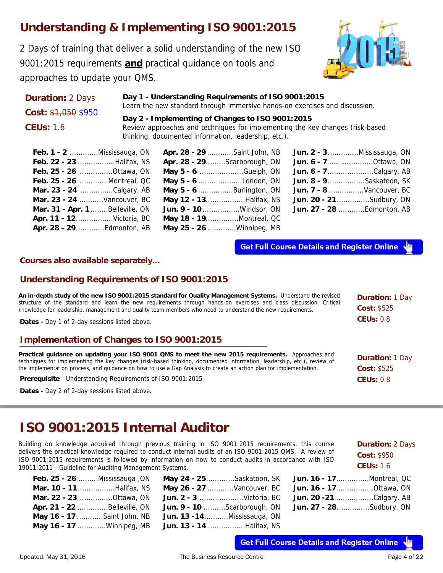# **Understanding & Implementing ISO 9001:2015**

2 Days of training that deliver a solid understanding of the new ISO 9001:2015 requirements **and** practical guidance on tools and approaches to update your QMS.



| <b>Duration: 2 Days</b>      | Day 1 - Understanding Requirements of ISO 9001:2015<br>Learn the new standard through immersive hands-on exercises and discussion.                                                        |                             |  |  |                                   |
|------------------------------|-------------------------------------------------------------------------------------------------------------------------------------------------------------------------------------------|-----------------------------|--|--|-----------------------------------|
| Cost: $$1,050$ \$950         |                                                                                                                                                                                           |                             |  |  |                                   |
| <b>CEUs: 1.6</b>             | Day 2 - Implementing of Changes to ISO 9001:2015<br>Review approaches and techniques for implementing the key changes (risk-based<br>thinking, documented information, leadership, etc.). |                             |  |  |                                   |
| Feb. $1 - 2$ Mississauga, ON |                                                                                                                                                                                           | Apr. 28 - 29 Saint John, NB |  |  | <b>Jun. 2 - 3</b> Mississauga, ON |
| Feb. 22 - 23 Halifax, NS     |                                                                                                                                                                                           | Apr. 28 - 29Scarborough, ON |  |  | <b>Jun. 6 - 7Ottawa, ON</b>       |

|                                  | <b>May 5 - 6</b> Guelph, ON <b>Jun. 6 - 7</b> Calgary, AB | <b>Feb. 25 - 26</b> Ottawa, ON    |
|----------------------------------|-----------------------------------------------------------|-----------------------------------|
| <b>Jun. 8 - 9</b> Saskatoon, SK  | <b>May 5 - 6</b> London, ON                               | <b>Feb. 25 - 26</b> Montreal, QC  |
| <b>Jun. 7 - 8</b> Vancouver, BC  | May $5 - 6$ Burlington, ON                                | Mar. 23 - 24 Calgary, AB          |
| <b>Jun. 20 - 21</b> Sudbury, ON  | May 12 - 13Halifax, NS                                    | <b>Mar. 23 - 24 Vancouver, BC</b> |
| <b>Jun. 27 - 28</b> Edmonton, AB | <b>Jun. 9 - 10</b> Windsor, ON                            | Mar. 31 - Apr. 1 Belleville, ON   |
|                                  | May 18 - 19Montreal, QC                                   | <b>Apr. 11 - 12Victoria, BC</b>   |
|                                  | $\Delta$ pr. 28 - 29 Femonton AB May 25 - 26 Minnipeg MB  |                                   |

| Feb. 22 - 23 Halifax, NS         | Apr. 28 - 29Scarborough, ON |
|----------------------------------|-----------------------------|
| Feb. 25 - 26 Ottawa, ON          | May 5 - 6 Guelph, ON        |
| Feb. 25 - 26 Montreal, QC        | May 5 - 6 London, ON        |
| Mar. 23 - 24 Calgary, AB         | May $5 - 6$ Burlington, ON  |
| Mar. 23 - 24 Vancouver, BC       | May 12 - 13Halifax, NS      |
| Mar. 31 - Apr. 1  Belleville, ON |                             |
| Apr. 11 - 12Victoria, BC         | May 18 - 19 Montreal, QC    |
| Apr. 28 - 29Edmonton, AB         | May 25 - 26 Winnipeg, MB    |
|                                  |                             |

| <b>Jun. 2 - 3</b> Mississauga, ON |
|-----------------------------------|
| Jun. 6 - 7Ottawa, ON              |
| <b>Jun. 6 - 7</b> Calgary, AB     |
| Jun. 8 - 9 Saskatoon, SK          |
| Jun. 7 - 8 Vancouver, BC          |
| <b>Jun. 20 - 21 </b> Sudbury, ON  |
| Jun. 27 - 28  Edmonton, AB        |
|                                   |

**Get Full Course Details and Register Online** 

#### **Courses also available separately...**

#### **Understanding Requirements of ISO 9001:2015**

| An in-depth study of the new ISO 9001:2015 standard for Quality Management Systems. Understand the revised<br>structure of the standard and learn the new requirements through hands-on exercises and class discussion. Critical<br>knowledge for leadership, management and quality team members who need to understand the new requirements.     | <b>Duration: 1 Day</b><br><b>Cost: \$525</b><br><b>CEUs: 0.8</b> |  |
|----------------------------------------------------------------------------------------------------------------------------------------------------------------------------------------------------------------------------------------------------------------------------------------------------------------------------------------------------|------------------------------------------------------------------|--|
| <b>Dates - Day 1 of 2-day sessions listed above.</b>                                                                                                                                                                                                                                                                                               |                                                                  |  |
| Implementation of Changes to ISO 9001:2015                                                                                                                                                                                                                                                                                                         |                                                                  |  |
| Practical quidance on updating your ISO 9001 QMS to meet the new 2015 requirements. Approaches and<br>techniques for implementing the key changes (risk-based thinking, documented information, leadership, etc.), review of<br>the implementation process, and quidance on how to use a Gap Analysis to create an action plan for implementation. | <b>Duration: 1 Day</b><br><b>Cost: \$525</b>                     |  |
| <b>Prerequisite</b> - Understanding Requirements of ISO 9001:2015                                                                                                                                                                                                                                                                                  | <b>CEUs: 0.8</b>                                                 |  |

**Dates -** Day 2 of 2-day sessions listed above.

# **ISO 9001:2015 Internal Auditor**

Building on knowledge acquired through previous training in ISO 9001:2015 requirements, this course delivers the practical knowledge required to conduct internal audits of an ISO 9001:2015 QMS. A review of ISO 9001:2015 requirements is followed by information on how to conduct audits in accordance with ISO 19011:2011 - Guideline for Auditing Management Systems.

| May 24 - 25Saskatoon, SK            | <b>Feb. 25 - 26</b> Mississauga , ON |
|-------------------------------------|--------------------------------------|
| May 26 - 27 Vancouver, BC           | Mar. 10 - 11 Halifax, NS             |
| <b>Jun. 2 - 3</b> Victoria, BC      | Mar. 22 - 23 Ottawa, ON              |
| <b>Jun. 9 - 10 </b> Scarborough, ON | <b>Apr. 21 - 22</b> Belleville, ON . |
| <b>Jun. 13 -14</b> Mississauga, ON  | <b>May 16 - 17</b> Saint John, NB    |
| <b>Jun. 13 - 14</b> Halifax, NS     | May 16 - 17 Winnipeg, MB             |

|                                 | <b>Feb. 25 - 26</b> Mississauga , ON May 24 - 25 Saskatoon, SK Jun. 16 - 17 Montreal, QC |  |
|---------------------------------|------------------------------------------------------------------------------------------|--|
| <b>Mar. 10 - 11</b> Halifax, NS | <b>May 26 - 27</b> Vancouver, BC <b>Jun. 16 - 17</b> Ottawa, ON                          |  |
|                                 | <b>Mar. 22 - 23</b> Ottawa, ON Jun. 2 - 3 Victoria, BC Jun. 20 -21Calgary, AB            |  |
|                                 | Apr. 21 - 22 Belleville, ON Jun. 9 - 10 Scarborough, ON Jun. 27 - 28 Sudbury, ON         |  |
|                                 | May 16 - 17 Saint John, NB Jun. 13 -14  Mississauga, ON                                  |  |
|                                 | May 16 - 17 Winnipeg, MB Jun. 13 - 14 Halifax, NS                                        |  |

| <b>Duration: 2 Days</b> |
|-------------------------|
| <b>Cost: \$950</b>      |
| <b>CEUs: 1.6</b>        |

| <b>Jun. 16 - 17Montreal, QC</b> |  |
|---------------------------------|--|
| <b>Jun. 16 - 17Ottawa, ON</b>   |  |
| Jun. 20 -21Calgary, AB          |  |
| Jun. 27 - 28 Sudbury, ON        |  |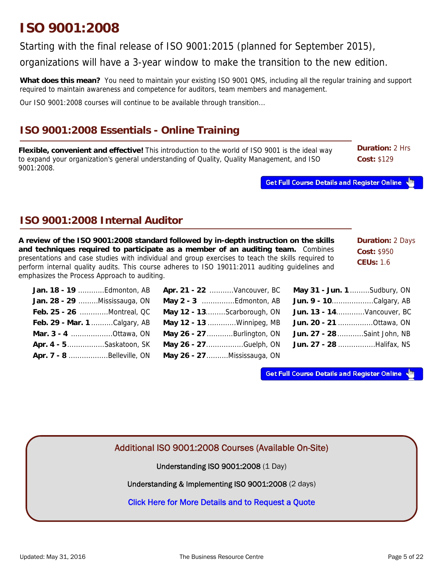# **ISO 9001:2008**

Starting with the final release of ISO 9001:2015 (planned for September 2015), organizations will have a 3-year window to make the transition to the new edition.

**What does this mean?** You need to maintain your existing ISO 9001 QMS, including all the regular training and support required to maintain awareness and competence for auditors, team members and management.

Our ISO 9001:2008 courses will continue to be available through transition...

# **ISO 9001:2008 Essentials - Online Training**

**Flexible, convenient and effective!** This introduction to the world of ISO 9001 is the ideal way  to expand your organization's general understanding of Quality, Quality Management, and ISO 9001:2008.

**Duration:** 2 Hrs **Cost:** \$129

**Get Full Course Details and Register Online** 

# **ISO 9001:2008 Internal Auditor**

**A review of the ISO 9001:2008 standard followed by in-depth instruction on the skills and techniques required to participate as a member of an auditing team.** Combines presentations and case studies with individual and group exercises to teach the skills required to perform internal quality audits. This course adheres to ISO 19011:2011 auditing guidelines and emphasizes the Process Approach to auditing.

**Duration:** 2 Days **Cost:** \$950 **CEUs:** 1.6

| l <b>an. 18 - 19</b> Ldmonton, AB |
|-----------------------------------|
| lan. 28 - 29 Mississauga, ON      |
| Feb. 25 - 26 Montreal, QC         |
| Feb. 29 - Mar. 1 Calgary, AB      |
| Mar. 3 - 4 Ottawa, ON             |
| <b>Apr. 4 - 5</b> Saskatoon, SK   |
| <b>Apr. 7 - 8</b> Belleville, ON  |

| <b>Jan. 18 - 19</b> Edmonton, AB | <b>Apr. 21 - 22</b> Vancouver, BC <b>May 31 - Jun. 1</b> Sudbury, ON |                                |
|----------------------------------|----------------------------------------------------------------------|--------------------------------|
| Jan. 28 - 29 Mississauga, ON     | May 2 - 3 Edmonton, AB Jun. 9 - 10Calgary, AB                        |                                |
| Feb. 25 - 26 Montreal, QC        | May 12 - 13Scarborough, ON                                           | Jun. 13 - 14Vancouver, BC      |
| Feb. 29 - Mar. 1 Calgary, AB     | <b>May 12 - 13</b> Winnipeg, MB                                      | <b>Jun. 20 - 21</b> Ottawa, ON |
| <b>Mar. 3 - 4</b> Ottawa, ON     | May 26 - 27 Burlington, ON                                           | Jun. 27 - 28 Saint John, NB    |
| Apr. 4 - 5 Saskatoon, SK         | May 26 - 27Guelph, ON                                                | Jun. 27 - 28 Halifax, NS       |
| <b>Apr. 7 - 8 Belleville, ON</b> | May 26 - 27 Mississauga, ON                                          |                                |
|                                  |                                                                      |                                |

| May 31 - Jun. 1  Sudbury, ON    | <b>Apr. 21 - 22 Vancouver, BC</b> | Jan. 18 - 19 Edmonton, AB           |
|---------------------------------|-----------------------------------|-------------------------------------|
| <b>Jun. 9 - 10Calgary, AB</b>   |                                   | <b>Jan. 28 - 29 Mississauga, ON</b> |
| Jun. 13 - 14Vancouver, BC       | May 12 - 13Scarborough, ON        | Feb. 25 - 26 Montreal, QC           |
| Jun. 20 - 21 Ottawa, ON         | May 12 - 13 Winnipeg, MB          | Feb. 29 - Mar. 1 Calgary, AB        |
| Jun. 27 - 28 Saint John, NB     | May 26 - 27 Burlington, ON        | Mar. 3 - 4 Ottawa, ON               |
| <b>Jun. 27 - 28</b> Halifax, NS | May 26 - 27Guelph, ON             | <b>Apr. 4 - 5</b> Saskatoon, SK     |
|                                 |                                   |                                     |

**Get Full Course Details and Register Online** 

[Additional ISO 9001:2008 Courses \(Available On-Site\)](http://www.thebrc.ca/our-services/training/training-iso-quality/training-quality-systems/) 

Understanding ISO 9001:2008 (1 Day)

Understanding & Implementing ISO 9001:2008 (2 days)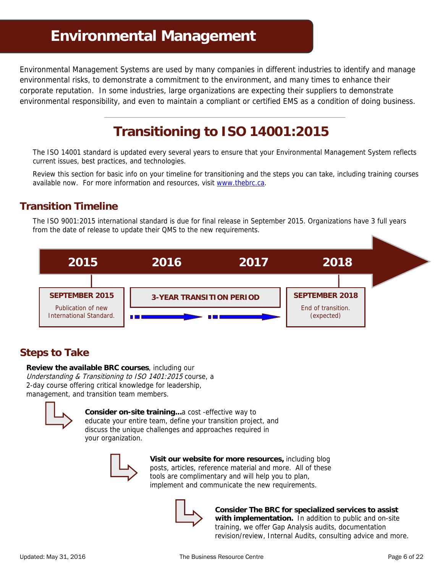# **Environmental Management**

<span id="page-11-0"></span>Environmental Management Systems are used by many companies in different industries to identify and manage environmental risks, to demonstrate a commitment to the environment, and many times to enhance their corporate reputation. In some industries, large organizations are expecting their suppliers to demonstrate environmental responsibility, and even to maintain a compliant or certified EMS as a condition of doing business.

# **Transitioning to ISO 14001:2015**

The ISO 14001 standard is updated every several years to ensure that your Environmental Management System reflects current issues, best practices, and technologies.

Review this section for basic info on your timeline for transitioning and the steps you can take, including training courses available now. For more information and resources, visit www.thebrc.ca.

# **Transition Timeline**

The ISO 9001:2015 international standard is due for final release in September 2015. Organizations have 3 full years from the date of release to update their QMS to the new requirements.



# **Steps to Take**

**Review the available BRC courses**, including our Understanding & Transitioning to ISO 1401:2015 course, a 2-day course offering critical knowledge for leadership,

management, and transition team members.



**Consider on-site training...**a cost -effective way to educate your entire team, define your transition project, and discuss the unique challenges and approaches required in your organization.



**Visit our website for more resources,** including blog posts, articles, reference material and more.All of these tools are complimentary and will help you to plan, implement and communicate the new requirements.



**Consider The BRC for specialized services to assist with implementation.** In addition to public and on-site training, we offer Gap Analysis audits, documentation revision/review, Internal Audits, consulting advice and more.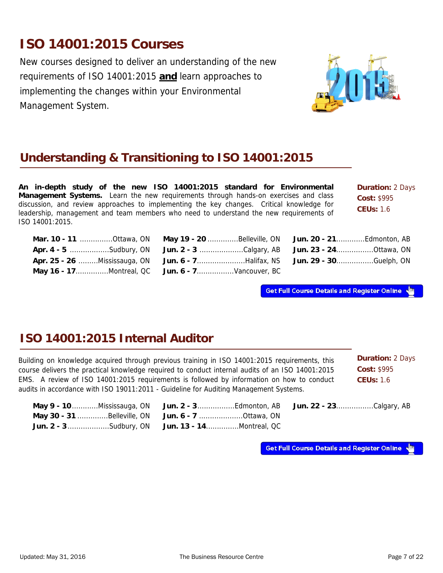# **ISO 14001:2015 Courses**

New courses designed to deliver an understanding of the new requirements of ISO 14001:2015 **and** learn approaches to implementing the changes within your Environmental Management System.



# **Understanding & Transitioning to ISO 14001:2015**

**Duration:** 2 Days **Cost:** \$995 **CEUs:** 1.6  ISO 14001:2015. **An in-depth study of the new ISO 14001:2015 standard for Environmental Management Systems.** Learn the new requirements through hands-on exercises and class discussion, and review approaches to implementing the key changes. Critical knowledge for leadership, management and team members who need to understand the new requirements of

| Mar. 10 - 11 Ottawa, ON May 19 - 20 Belleville, ON Jun. 20 - 21 Edmonton, AB               |  |
|--------------------------------------------------------------------------------------------|--|
| <b>Apr. 4 - 5</b> Sudbury, ON <b>Jun. 2 - 3</b> Calgary, AB <b>Jun. 23 - 24</b> Ottawa, ON |  |
| Apr. 25 - 26 Mississauga, ON Jun. 6 - 7 Halifax, NS Jun. 29 - 30 Guelph, ON                |  |
| <b>May 16 - 17Montreal, QC Jun. 6 - 7Vancouver, BC</b>                                     |  |

**Get Full Course Details and Register Online** 

# **ISO 14001:2015 Internal Auditor**

**Duration:** 2 Days **Cost:** \$995 **CEUs:** 1.6 Building on knowledge acquired through previous training in ISO 14001:2015 requirements, this course delivers the practical knowledge required to conduct internal audits of an ISO 14001:2015 EMS. A review of ISO 14001:2015 requirements is followed by information on how to conduct audits in accordance with ISO 19011:2011 - Guideline for Auditing Management Systems.

| May 9 - 10Mississauga, ON Jun. 2 - 3Edmonton, AB Jun. 22 - 23Calgary, AB |  |
|--------------------------------------------------------------------------|--|
| <b>May 30 - 31</b> Belleville, ON Jun. 6 - 7 Ottawa, ON                  |  |
| <b>Jun. 2 - 3</b> Sudbury, ON <b>Jun. 13 - 14</b> Montreal, QC           |  |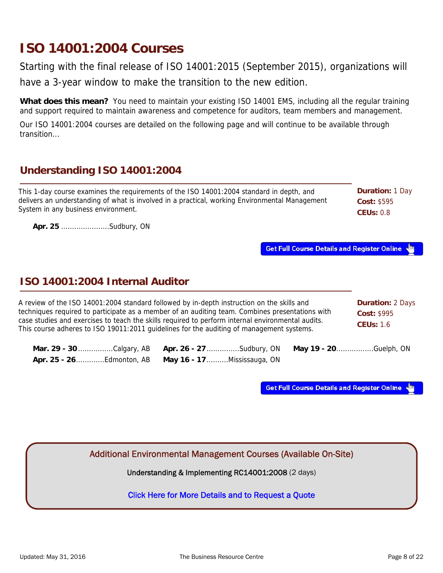# **ISO 14001:2004 Courses**

Starting with the final release of ISO 14001:2015 (September 2015), organizations will have a 3-year window to make the transition to the new edition.

**What does this mean?** You need to maintain your existing ISO 14001 EMS, including all the regular training and support required to maintain awareness and competence for auditors, team members and management.

Our ISO 14001:2004 courses are detailed on the following page and will continue to be available through transition...

# **Understanding ISO 14001:2004**

This 1-day course examines the requirements of the ISO 14001:2004 standard in depth, and delivers an understanding of what is involved in a practical, working Environmental Management System in any business environment.

**Apr. 25 - 26**.............Edmonton, AB **May 16 - 17** ..........Mississauga, ON

**Duration:** 1 Day **Cost:** \$595 **CEUs:** 0.8

 **Apr. 25** ......................Sudbury, ON

**Get Full Course Details and Register Online** 

# **ISO 14001:2004 Internal Auditor**

| A review of the ISO 14001:2004 standard followed by in-depth instruction on the skills and<br>techniques required to participate as a member of an auditing team. Combines presentations with<br>case studies and exercises to teach the skills required to perform internal environmental audits.<br>This course adheres to ISO 19011:2011 guidelines for the auditing of management systems. |                                 |  | <b>Duration: 2 Days</b><br>Cost: \$995<br><b>CEUs: 1.6</b> |
|------------------------------------------------------------------------------------------------------------------------------------------------------------------------------------------------------------------------------------------------------------------------------------------------------------------------------------------------------------------------------------------------|---------------------------------|--|------------------------------------------------------------|
| Mar. 29 - 30 Calgary, AB                                                                                                                                                                                                                                                                                                                                                                       | <b>Apr. 26 - 27</b> Sudbury, ON |  | May 19 - 20Guelph, ON                                      |

**Get Full Course Details and Register Online** 

[Additional Environmental Management Courses \(Available On-Site\)](http://www.thebrc.ca/our-services/training/training-iso-quality/training-environmental-systems/) 

Understanding & Implementing RC14001:2008 (2 days)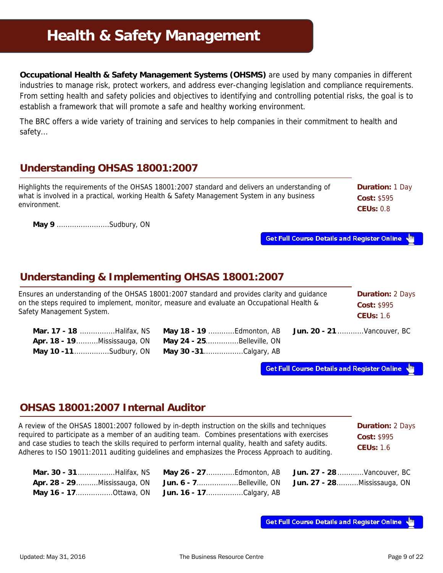<span id="page-14-0"></span>**Occupational Health & Safety Management Systems (OHSMS)** are used by many companies in different industries to manage risk, protect workers, and address ever-changing legislation and compliance requirements. From setting health and safety policies and objectives to identifying and controlling potential risks, the goal is to establish a framework that will promote a safe and healthy working environment.

The BRC offers a wide variety of training and services to help companies in their commitment to health and safety...

# **Understanding OHSAS 18001:2007**

Highlights the requirements of the OHSAS 18001:2007 standard and delivers an understanding of what is involved in a practical, working Health & Safety Management System in any business environment.

**Duration:** 1 Day **Cost:** \$595 **CEUs:** 0.8

 **May 9** ........................Sudbury, ON

**Get Full Course Details and Register Online** 

# **Understanding & Implementing OHSAS 18001:2007**

| Ensures an understanding of the OHSAS 18001:2007 standard and provides clarity and guidance<br>on the steps required to implement, monitor, measure and evaluate an Occupational Health &<br>Safety Management System. |                                                                                                           | <b>Duration: 2 Days</b><br>Cost: \$995<br><b>CEUs: 1.6</b> |
|------------------------------------------------------------------------------------------------------------------------------------------------------------------------------------------------------------------------|-----------------------------------------------------------------------------------------------------------|------------------------------------------------------------|
| <b>Mar. 17 - 18</b> Halifax, NS<br>Apr. 18 - 19 Mississauga, ON<br>May 10 -11Sudbury, ON                                                                                                                               | May 18 - 19 Edmonton, AB Jun. 20 - 21 Vancouver, BC<br>May 24 - 25Belleville, ON<br>May 30 -31Calgary, AB |                                                            |

**Get Full Course Details and Register Online** 

# **OHSAS 18001:2007 Internal Auditor**

A review of the OHSAS 18001:2007 followed by in-depth instruction on the skills and techniques required to participate as a member of an auditing team. Combines presentations with exercises and case studies to teach the skills required to perform internal quality, health and safety audits. Adheres to ISO 19011:2011 auditing guidelines and emphasizes the Process Approach to auditing.

**Duration:** 2 Days **Cost:** \$995 **CEUs:** 1.6

|                                                      | Mar. 30 - 31 Halifax, NS May 26 - 27 Edmonton, AB Jun. 27 - 28 Vancouver, BC                             |  |
|------------------------------------------------------|----------------------------------------------------------------------------------------------------------|--|
|                                                      | <b>Apr. 28 - 29</b> Mississauga, ON <b>Jun. 6 - 7</b> Belleville, ON <b>Jun. 27 - 28</b> Mississauga, ON |  |
| <b>May 16 - 17Ottawa, ON Jun. 16 - 17Calgary, AB</b> |                                                                                                          |  |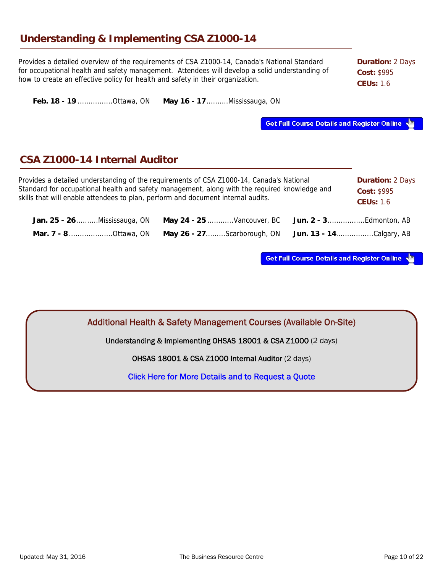# **Understanding & Implementing CSA Z1000-14**

Provides a detailed overview of the requirements of CSA Z1000-14, Canada's National Standard for occupational health and safety management. Attendees will develop a solid understanding of how to create an effective policy for health and safety in their organization.

**Duration:** 2 Days **Cost:** \$995 **CEUs:** 1.6

**Feb. 18 - 19** ................Ottawa, ON **May 16 - 17** ..........Mississauga, ON

**Get Full Course Details and Register Online** 

# **CSA Z1000-14 Internal Auditor**

| Provides a detailed understanding of the requirements of CSA Z1000-14, Canada's National      |                                                                                                         |  | <b>Duration: 2 Days</b> |
|-----------------------------------------------------------------------------------------------|---------------------------------------------------------------------------------------------------------|--|-------------------------|
| Standard for occupational health and safety management, along with the required knowledge and |                                                                                                         |  | Cost: \$995             |
| skills that will enable attendees to plan, perform and document internal audits.              |                                                                                                         |  | <b>CEUs: 1.6</b>        |
| Jan. 25 - 26  Mississauga, ON<br><b>Mar. 7 - 8</b> Ottawa, ON                                 | May 24 - 25 Vancouver, BC Jun. 2 - 3 Edmonton, AB<br>May 26 - 27Scarborough, ON Jun. 13 - 14Calgary, AB |  |                         |

**Get Full Course Details and Register Online** 

[Additional Health & Safety Management Courses \(Available On-Site\)](http://www.thebrc.ca/our-services/training/training-iso-quality/training-health-safety-systems/) 

Understanding & Implementing OHSAS 18001 & CSA Z1000 (2 days)

OHSAS 18001 & CSA Z1000 Internal Auditor (2 days)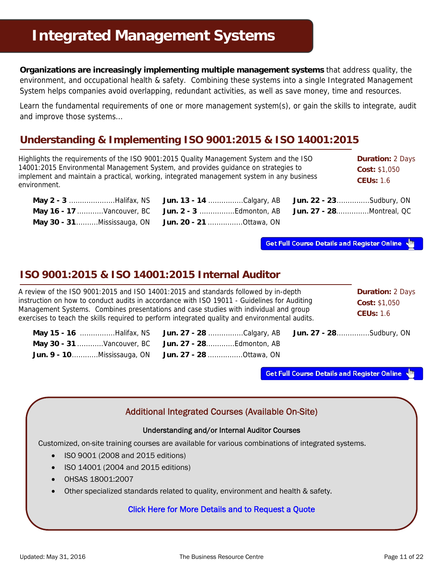<span id="page-16-0"></span>**Organizations are increasingly implementing multiple management systems** that address quality, the environment, and occupational health & safety. Combining these systems into a single Integrated Management System helps companies avoid overlapping, redundant activities, as well as save money, time and resources.

Learn the fundamental requirements of one or more management system(s), or gain the skills to integrate, audit and improve those systems...

# **Understanding & Implementing ISO 9001:2015 & ISO 14001:2015**

| Highlights the requirements of the ISO 9001:2015 Quality Management System and the ISO<br>14001:2015 Environmental Management System, and provides guidance on strategies to<br>implement and maintain a practical, working, integrated management system in any business<br>environment. |                                 | <b>Duration: 2 Days</b><br>Cost: \$1,050<br><b>CEUs: 1.6</b> |
|-------------------------------------------------------------------------------------------------------------------------------------------------------------------------------------------------------------------------------------------------------------------------------------------|---------------------------------|--------------------------------------------------------------|
| May 2 - 3 Halifax, NS Jun. 13 - 14 Calgary, AB                                                                                                                                                                                                                                            | <b>Jun. 22 - 23</b> Sudbury, ON |                                                              |
| May 16 - 17 Vancouver, BC                                                                                                                                                                                                                                                                 | Jun. 27 - 28Montreal, QC        |                                                              |
| May 30 - 31Mississauga, ON Jun. 20 - 21Ottawa, ON                                                                                                                                                                                                                                         |                                 |                                                              |

**Get Full Course Details and Register Online** 

# **ISO 9001:2015 & ISO 14001:2015 Internal Auditor**

| A review of the ISO 9001:2015 and ISO 14001:2015 and standards followed by in-depth<br>instruction on how to conduct audits in accordance with ISO 19011 - Guidelines for Auditing<br>Management Systems. Combines presentations and case studies with individual and group<br>exercises to teach the skills required to perform integrated quality and environmental audits. |                                                                                                                                         | <b>Duration: 2 Days</b><br>Cost: \$1,050<br><b>CEUs: 1.6</b> |
|-------------------------------------------------------------------------------------------------------------------------------------------------------------------------------------------------------------------------------------------------------------------------------------------------------------------------------------------------------------------------------|-----------------------------------------------------------------------------------------------------------------------------------------|--------------------------------------------------------------|
| May 30 - 31 Vancouver, BC<br><b>Jun. 9 - 10</b> Mississauga, ON                                                                                                                                                                                                                                                                                                               | May 15 - 16 Halifax, NS Jun. 27 - 28 Calgary, AB Jun. 27 - 28 Sudbury, ON<br>Jun. 27 - 28Edmonton, AB<br><b>Jun. 27 - 28</b> Ottawa, ON |                                                              |

**Get Full Course Details and Register Online** 

# Additional Integrated Courses (Available On-Site)

#### Understanding and/or Internal Auditor Courses

[Customized, on-site training courses are available for various combinations of integrated systems.](http://www.thebrc.ca/our-services/training/training-iso-quality/training-integrated-systems/) 

- ISO 9001 (2008 and 2015 editions)
- ISO 14001 (2004 and 2015 editions)
- OHSAS 18001:2007
- Other specialized standards related to quality, environment and health & safety.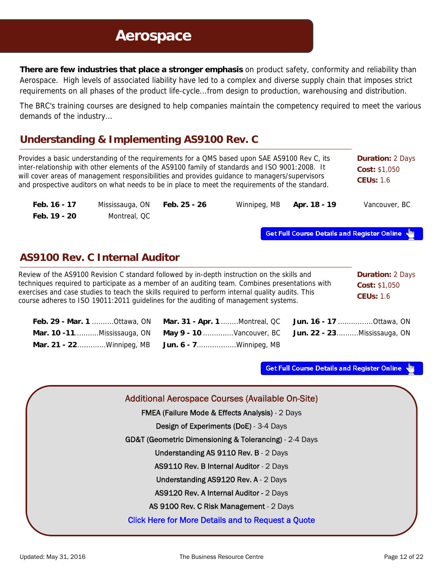# **Aerospace**

<span id="page-17-0"></span>**There are few industries that place a stronger emphasis** on product safety, conformity and reliability than Aerospace. High levels of associated liability have led to a complex and diverse supply chain that imposes strict requirements on all phases of the product life-cycle...from design to production, warehousing and distribution.

The BRC's training courses are designed to help companies maintain the competency required to meet the various demands of the industry...

# **Understanding & Implementing AS9100 Rev. C**

 **Mar. 21 - 22** .............Winnipeg, MB **Jun. 6 - 7**..................Winnipeg, MB

**Duration:** 2 Days **Cost:** \$1,050 **CEUs:** 1.6  **Feb. 16 - 17** Mississauga, ON **Feb. 25 - 26** Winnipeg, MB **Apr. 18 - 19** Vancouver, BC  **Feb. 19 - 20** Montreal, QC Provides a basic understanding of the requirements for a QMS based upon SAE AS9100 Rev C, its inter-relationship with other elements of the AS9100 family of standards and ISO 9001:2008. It will cover areas of management responsibilities and provides guidance to managers/supervisors and prospective auditors on what needs to be in place to meet the requirements of the standard.

**Get Full Course Details and Register Online** 

# **AS9100 Rev. C Internal Auditor**

| Review of the AS9100 Revision C standard followed by in-depth instruction on the skills and<br>techniques required to participate as a member of an auditing team. Combines presentations with<br>exercises and case studies to teach the skills required to perform internal quality audits. This<br>course adheres to ISO 19011:2011 guidelines for the auditing of management systems. |                                 |                                     | <b>Duration: 2 Days</b> |
|-------------------------------------------------------------------------------------------------------------------------------------------------------------------------------------------------------------------------------------------------------------------------------------------------------------------------------------------------------------------------------------------|---------------------------------|-------------------------------------|-------------------------|
| <b>Feb. 29 - Mar. 1</b> Ottawa, ON                                                                                                                                                                                                                                                                                                                                                        | Mar. 31 - Apr. 1 Montreal, QC   | <b>Jun. 16 - 17</b> Ottawa, ON      |                         |
| Mar. 10 -11Mississauga, ON                                                                                                                                                                                                                                                                                                                                                                | <b>May 9 - 10</b> Vancouver, BC | <b>Jun. 22 - 23</b> Mississauga, ON |                         |

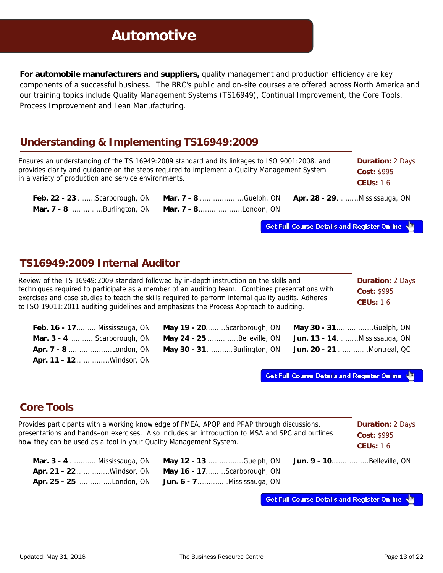# **Automotive**

<span id="page-18-0"></span>**For automobile manufacturers and suppliers,** quality management and production efficiency are key components of a successful business. The BRC's public and on-site courses are offered across North America and our training topics include Quality Management Systems (TS16949), Continual Improvement, the Core Tools, Process Improvement and Lean Manufacturing.

i

# **Understanding & Implementing TS16949:2009**

| Ensures an understanding of the TS 16949:2009 standard and its linkages to ISO 9001:2008, and |                                                                                                  | <b>Duration: 2 Days</b> |  |
|-----------------------------------------------------------------------------------------------|--------------------------------------------------------------------------------------------------|-------------------------|--|
| provides clarity and guidance on the steps required to implement a Quality Management System  |                                                                                                  | Cost: \$995             |  |
| in a variety of production and service environments.                                          |                                                                                                  | CEUs: $1.6$             |  |
| Feb. 22 - 23 Scarborough, ON<br>Mar. $7 - 8$ Burlington, ON                                   | <b>Mar. 7 - 8</b> Guelph, ON <b>Apr. 28 - 29</b> Mississauga, ON<br><b>Mar. 7 - 8</b> London, ON |                         |  |

**Get Full Course Details and Register Online** 

# **TS16949:2009 Internal Auditor**

| Review of the TS 16949:2009 standard followed by in-depth instruction on the skills and<br>techniques required to participate as a member of an auditing team. Combines presentations with<br>exercises and case studies to teach the skills required to perform internal quality audits. Adheres<br>to ISO 19011:2011 auditing guidelines and emphasizes the Process Approach to auditing. | <b>Duration: 2 Days</b><br>Cost: \$995<br><b>CEUs: 1.6</b> |
|---------------------------------------------------------------------------------------------------------------------------------------------------------------------------------------------------------------------------------------------------------------------------------------------------------------------------------------------------------------------------------------------|------------------------------------------------------------|
|---------------------------------------------------------------------------------------------------------------------------------------------------------------------------------------------------------------------------------------------------------------------------------------------------------------------------------------------------------------------------------------------|------------------------------------------------------------|

| <b>Feb. 16 - 17</b> Mississauga, ON May 19 - 20Scarborough, ON May 30 - 31Guelph, ON |                                 |
|--------------------------------------------------------------------------------------|---------------------------------|
| Mar. 3 - 4 Scarborough, ON May 24 - 25 Belleville, ON Jun. 13 - 14 Mississauga, ON   |                                 |
| <b>Apr. 7 - 8</b> London, ON May 30 - 31 Burlington, ON Jun. 20 - 21 Montreal, QC    |                                 |
|                                                                                      | <b>Apr. 11 - 12</b> Windsor, ON |

**Get Full Course Details and Register Online** 

# **Core Tools**

**Duration:** 2 Days **Cost:** \$995 Provides participants with a working knowledge of FMEA, APQP and PPAP through discussions, presentations and hands–on exercises. Also includes an introduction to MSA and SPC and outlines how they can be used as a tool in your Quality Management System.

| they can be ascalasta toon in your Quality management system. |                                                                             | <b>CEUs: 1.6</b> |
|---------------------------------------------------------------|-----------------------------------------------------------------------------|------------------|
|                                                               | Mar. 3 - 4 Mississauga, ON May 12 - 13 Guelph, ON Jun. 9 - 10Belleville, ON |                  |
|                                                               | <b>Apr. 21 - 22</b> Windsor, ON May 16 - 17 Scarborough, ON                 |                  |
|                                                               | <b>Apr. 25 - 25</b> London, ON <b>Jun. 6 - 7</b> Mississauga, ON            |                  |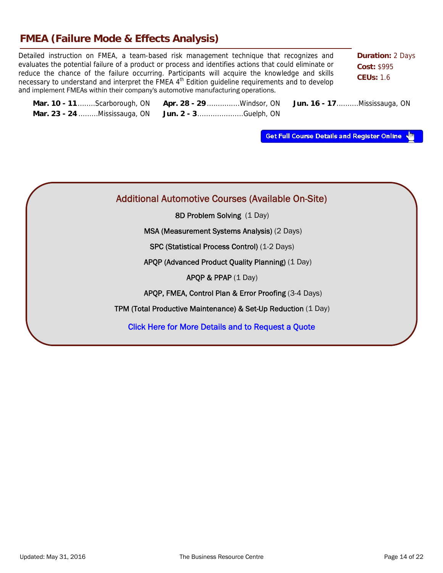# **FMEA (Failure Mode & Effects Analysis)**

 and implement FMEAs within their company's automotive manufacturing operations. Detailed instruction on FMEA, a team-based risk management technique that recognizes and evaluates the potential failure of a product or process and identifies actions that could eliminate or reduce the chance of the failure occurring. Participants will acquire the knowledge and skills necessary to understand and interpret the FMEA  $4<sup>th</sup>$  Edition guideline requirements and to develop **Duration:** 2 Days **Cost:** \$995 **CEUs:** 1.6

| Mar. 10 - 11 Scarborough, ON Apr. 28 - 29 Windsor, ON Jun. 16 - 17 Mississauga, ON |  |
|------------------------------------------------------------------------------------|--|
| Mar. 23 - 24 Mississauga, ON Jun. 2 - 3 Guelph, ON                                 |  |

**Get Full Course Details and Register Online** 



8D Problem Solving (1 Day)

MSA (Measurement Systems Analysis) (2 Days)

SPC (Statistical Process Control) (1-2 Days)

APQP (Advanced Product Quality Planning) (1 Day)

APQP & PPAP (1 Day)

 [APQP, FMEA, Control Plan & Error Proofing \(3-4 Days\)](http://www.thebrc.ca/our-services/training/training-iso-quality/training-automotive/) 

TPM (Total Productive Maintenance) & Set-Up Reduction (1 Day)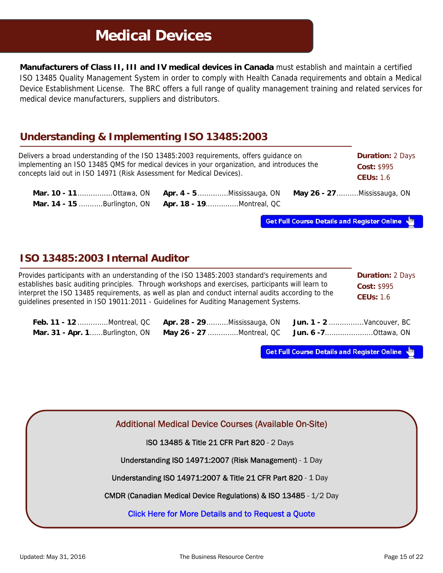# **Medical Devices**

<span id="page-20-0"></span>**Manufacturers of Class II, III and IV medical devices in Canada** must establish and maintain a certified ISO 13485 Quality Management System in order to comply with Health Canada requirements and obtain a Medical Device Establishment License. The BRC offers a full range of quality management training and related services for medical device manufacturers, suppliers and distributors.

# **Understanding & Implementing ISO 13485:2003**

| Delivers a broad understanding of the ISO 13485:2003 requirements, offers quidance on      |                                                                      | <b>Duration: 2 Days</b>      |  |
|--------------------------------------------------------------------------------------------|----------------------------------------------------------------------|------------------------------|--|
| implementing an ISO 13485 QMS for medical devices in your organization, and introduces the |                                                                      | Cost: \$995                  |  |
| concepts laid out in ISO 14971 (Risk Assessment for Medical Devices).                      |                                                                      | <b>CEUs: 1.6</b>             |  |
| <b>Mar. 10 - 11</b> Ottawa, ON<br>Mar. 14 - 15 Burlington, ON                              | <b>Apr. 4 - 5</b> Mississauga, ON<br><b>Apr. 18 - 19Montreal, QC</b> | May 26 - 27  Mississauga, ON |  |

**Get Full Course Details and Register Online** 

# **ISO 13485:2003 Internal Auditor**

| Provides participants with an understanding of the ISO 13485:2003 standard's requirements and<br>establishes basic auditing principles. Through workshops and exercises, participants will learn to<br>interpret the ISO 13485 requirements, as well as plan and conduct internal audits according to the<br>quidelines presented in ISO 19011:2011 - Guidelines for Auditing Management Systems. | <b>Duration: 2 Days</b><br><b>Cost: \$995</b><br><b>CEUs: 1.6</b> |
|---------------------------------------------------------------------------------------------------------------------------------------------------------------------------------------------------------------------------------------------------------------------------------------------------------------------------------------------------------------------------------------------------|-------------------------------------------------------------------|
|                                                                                                                                                                                                                                                                                                                                                                                                   |                                                                   |

| <b>Feb. 11 - 12</b> Montreal, QC <b>Apr. 28 - 29 Mississauga, ON Jun. 1 - 2 Vancouver, BC</b> |  |
|-----------------------------------------------------------------------------------------------|--|
| Mar. 31 - Apr. 1Burlington, ON May 26 - 27 Montreal, QC Jun. 6 -7Ottawa, ON                   |  |

**Get Full Course Details and Register Online** 

Additional Medical Device Courses (Available On-Site)

ISO 13485 & Title 21 CFR Part 820 - 2 Days

Understanding ISO 14971:2007 (Risk Management) - 1 Day

 [Understanding ISO 14971:2007 & Title 21 CFR Part 820 - 1 Day](http://www.thebrc.ca/our-services/training/training-iso-quality/training-medical-devices/) 

CMDR (Canadian Medical Device Regulations) & ISO 13485 - 1/2 Day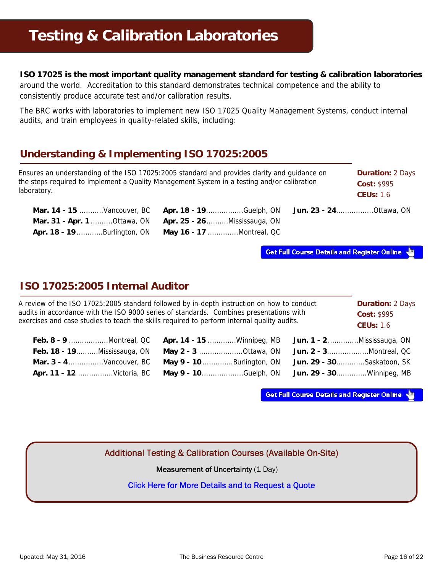#### <span id="page-21-0"></span>**ISO 17025 is the most important quality management standard for testing & calibration laboratories**

around the world. Accreditation to this standard demonstrates technical competence and the ability to consistently produce accurate test and/or calibration results.

The BRC works with laboratories to implement new ISO 17025 Quality Management Systems, conduct internal audits, and train employees in quality-related skills, including:

# **Understanding & Implementing ISO 17025:2005**

| Ensures an understanding of the ISO 17025:2005 standard and provides clarity and quidance on<br>the steps required to implement a Quality Management System in a testing and/or calibration<br>laboratory. |                                                      | <b>Duration: 2 Days</b><br><b>Cost: \$995</b><br><b>CEUs: 1.6</b> |
|------------------------------------------------------------------------------------------------------------------------------------------------------------------------------------------------------------|------------------------------------------------------|-------------------------------------------------------------------|
| <b>Mar. 14 - 15 Vancouver, BC</b>                                                                                                                                                                          | <b>Apr. 18 - 19Guelph, ON Jun. 23 - 24Ottawa, ON</b> |                                                                   |
| Mar. 31 - Apr. 1 Ottawa, ON                                                                                                                                                                                | <b>Apr. 25 - 26</b> Mississauga, ON                  |                                                                   |
| <b>Apr. 18 - 19 Burlington, ON</b>                                                                                                                                                                         | May 16 - 17 Montreal, QC                             |                                                                   |

**Get Full Course Details and Register Online** 

# **ISO 17025:2005 Internal Auditor**

| A review of the ISO 17025:2005 standard followed by in-depth instruction on how to conduct<br>audits in accordance with the ISO 9000 series of standards. Combines presentations with<br>exercises and case studies to teach the skills required to perform internal quality audits. |                                  | <b>Duration: 2 Days</b><br>Cost: \$995<br><b>CEUs: 1.6</b> |
|--------------------------------------------------------------------------------------------------------------------------------------------------------------------------------------------------------------------------------------------------------------------------------------|----------------------------------|------------------------------------------------------------|
|                                                                                                                                                                                                                                                                                      | <b>Apr. 14 - 15 Winnipeg, MB</b> | <b>Jun. 1 - 2</b> Mississauga, ON                          |
| Feb. 18 - 19Mississauga, ON                                                                                                                                                                                                                                                          | May 2 - 3 Ottawa, ON             |                                                            |
| Mar. 3 - 4Vancouver, BC                                                                                                                                                                                                                                                              | May 9 - 10 Burlington, ON        | Jun. 29 - 30Saskatoon, SK                                  |
| <b>Apr. 11 - 12 Victoria, BC</b>                                                                                                                                                                                                                                                     | May 9 - 10Guelph, ON             | <b>Jun. 29 - 30</b> Winnipeg, MB                           |

**Get Full Course Details and Register Online** 

[Additional Testing & Calibration Courses \(Available On-Site\)](http://www.thebrc.ca/our-services/training/training-iso-quality/training-testing-calibration-laboratories/) 

Measurement of Uncertainty (1 Day)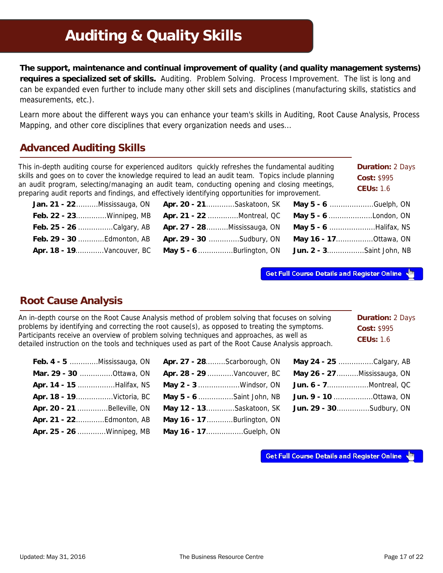# **Auditing & Quality Skills**

**The support, maintenance and continual improvement of quality (and quality management systems) requires a specialized set of skills.** Auditing. Problem Solving. Process Improvement. The list is long and can be expanded even further to include many other skill sets and disciplines (manufacturing skills, statistics and measurements, etc.).

Learn more about the different ways you can enhance your team's skills in Auditing, Root Cause Analysis, Process Mapping, and other core disciplines that every organization needs and uses...

# **Advanced Auditing Skills**

<span id="page-22-0"></span>Ī

This in-depth auditing course for experienced auditors quickly refreshes the fundamental auditing skills and goes on to cover the knowledge required to lead an audit team. Topics include planning an audit program, selecting/managing an audit team, conducting opening and closing meetings, preparing audit reports and findings, and effectively identifying opportunities for improvement.

**Duration:** 2 Days **Cost:** \$995 **CEUs:** 1.6

| <b>Jan. 21 - 22</b> MISSISSauga, ON |
|-------------------------------------|
| Feb. 22 - 23Winnipeg, MB            |
| Feb. 25 - 26 Calgary, AB            |
| Feb. 29 - 30 Edmonton, AB           |
| <b>Apr. 18 - 19Vancouver. BC</b>    |

| an. 21 - 22Mississauga, ON Apr. 20 - 21Saskatoon, SK May 5 - 6 Guelph, ON        |  |
|----------------------------------------------------------------------------------|--|
| eb. 22 - 23Winnipeg, MB Apr. 21 - 22 Montreal, QC May 5 - 6 London, ON           |  |
| eb. 25 - 26 Calgary, AB Apr. 27 - 28 Mississauga, ON May 5 - 6 Halifax, NS       |  |
| eb. 29 - 30 Edmonton, AB Apr. 29 - 30 Sudbury, ON May 16 - 17Ottawa, ON          |  |
| <b>pr. 18 - 19Vancouver, BC May 5 - 6Burlington, ON Jun. 2 - 3Saint John, NB</b> |  |

|  | eroparing additioports and midnigs, and onostron, idontifying opportunities for improvement.  |  |
|--|-----------------------------------------------------------------------------------------------|--|
|  | Jan. 21 - 22 Mississauga, ON Apr. 20 - 21 Saskatoon, SK May 5 - 6 Guelph, ON                  |  |
|  | Feb. 22 - 23Winnipeg, MB Apr. 21 - 22 Montreal, QC May 5 - 6 London, ON                       |  |
|  | Feb. 25 - 26 Calgary, AB Apr. 27 - 28 Mississauga, ON May 5 - 6 Halifax, NS                   |  |
|  | Feb. 29 - 30 Edmonton, AB Apr. 29 - 30 Sudbury, ON May 16 - 17 Ottawa, ON                     |  |
|  | <b>Apr 18 - 19</b> Mancouver RC <b>May 5 - 6</b> Rurlington ON <b>Jun 2 - 3</b> Saint John NR |  |

**Get Full Course Details and Register Online** 

# **Root Cause Analysis**

**Duration:** 2 Days **Cost:** \$995 **CEUs:** 1.6 An in-depth course on the Root Cause Analysis method of problem solving that focuses on solving problems by identifying and correcting the root cause(s), as opposed to treating the symptoms. Participants receive an overview of problem solving techniques and approaches, as well as detailed instruction on the tools and techniques used as part of the Root Cause Analysis approach.

| Feb. 4 - 5 Mississauga, ON  |
|-----------------------------|
| Mar. 29 - 30 Ottawa, ON     |
| Apr. 14 - 15 Halifax, NS    |
| Apr. 18 - 19Victoria, BC    |
| Apr. 20 - 21 Belleville, ON |
| Apr. 21 - 22Edmonton, AB    |
| Apr. 25 - 26 Winnipeg, MB   |

| May 24 - 25 Calgary, AB         | Apr. 27 - 28Scarborough, ON     | Feb. 4 - 5 Mississauga, ON  |
|---------------------------------|---------------------------------|-----------------------------|
| May 26 - 27 Mississauga, ON     | Apr. 28 - 29 Vancouver, BC      | Mar. 29 - 30 Ottawa, ON     |
| <b>Jun. 6 - 7Montreal, QC</b>   | May 2 - 3 Windsor, ON           | Apr. 14 - 15 Halifax, NS    |
| <b>Jun. 9 - 10</b> Ottawa, ON   | <b>May 5 - 6</b> Saint John, NB | Apr. 18 - 19Victoria, BC    |
| <b>Jun. 29 - 30</b> Sudbury, ON | May 12 - 13Saskatoon, SK        | Apr. 20 - 21 Belleville, ON |
|                                 | May 16 - 17 Burlington, ON      | Apr. 21 - 22Edmonton, AB    |
|                                 | May 16 - 17Guelph, ON           | Apr. 25 - 26 Winnipeg, MB   |

| May 24 - 25 Calgary, AB     |  |
|-----------------------------|--|
| May 26 - 27 Mississauga, ON |  |
|                             |  |
| Jun. 9 - 10 Ottawa, ON      |  |
| Jun. 29 - 30Sudbury, ON     |  |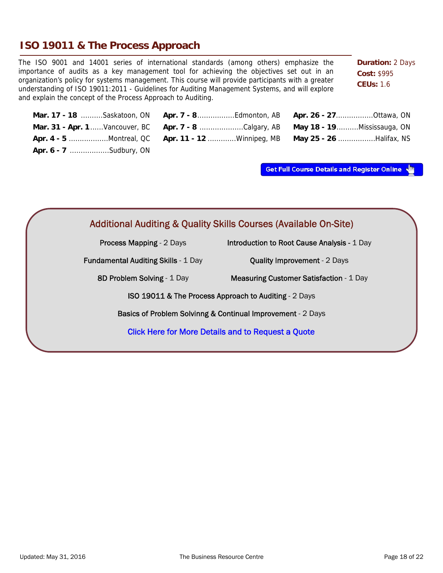# **ISO 19011 & The Process Approach**

The ISO 9001 and 14001 series of international standards (among others) emphasize the importance of audits as a key management tool for achieving the objectives set out in an organization's policy for systems management. This course will provide participants with a greater understanding of ISO 19011:2011 - Guidelines for Auditing Management Systems, and will explore and explain the concept of the Process Approach to Auditing.

**Duration: 2 Days Cost:** \$995 **CEUs:** 1.6

|                               | Mar. 17 - 18 Saskatoon, ON Apr. 7 - 8 Edmonton, AB Apr. 26 - 27 Ottawa, ON      |  |
|-------------------------------|---------------------------------------------------------------------------------|--|
|                               | Mar. 31 - Apr. 1Vancouver, BC Apr. 7 - 8 Calgary, AB May 18 - 19Mississauga, ON |  |
|                               | Apr. 4 - 5 Montreal, QC Apr. 11 - 12 Winnipeg, MB May 25 - 26 Halifax, NS       |  |
| <b>Apr. 6 - 7</b> Sudbury, ON |                                                                                 |  |

| <b>Additional Auditing &amp; Quality Skills Courses (Available On-Site)</b> |                                                |  |
|-----------------------------------------------------------------------------|------------------------------------------------|--|
| <b>Process Mapping - 2 Days</b>                                             | Introduction to Root Cause Analysis - 1 Day    |  |
| <b>Fundamental Auditing Skills - 1 Day</b>                                  | <b>Quality Improvement - 2 Days</b>            |  |
| 8D Problem Solving - 1 Day                                                  | <b>Measuring Customer Satisfaction - 1 Day</b> |  |
| ISO 19011 & The Process Approach to Auditing - 2 Days                       |                                                |  |
| Basics of Problem Solvinng & Continual Improvement - 2 Days                 |                                                |  |
| <b>Click Here for More Details and to Request a Quote</b>                   |                                                |  |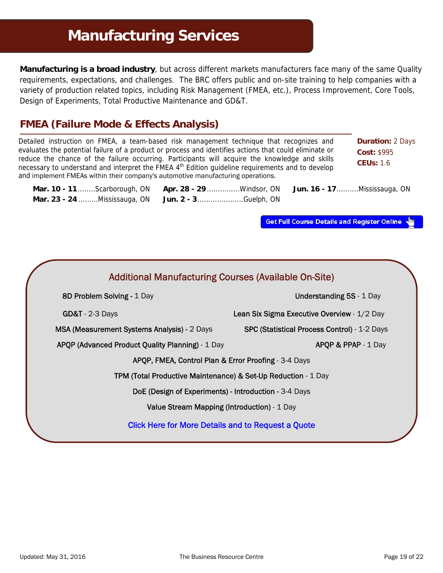# **Manufacturing Services**

<span id="page-24-0"></span>**Manufacturing is a broad industry**, but across different markets manufacturers face many of the same Quality requirements, expectations, and challenges. The BRC offers public and on-site training to help companies with a variety of production related topics, including Risk Management (FMEA, etc.), Process Improvement, Core Tools, Design of Experiments, Total Productive Maintenance and GD&T.

# **FMEA (Failure Mode & Effects Analysis)**

 and implement FMEAs within their company's automotive manufacturing operations. Detailed instruction on FMEA, a team-based risk management technique that recognizes and evaluates the potential failure of a product or process and identifies actions that could eliminate or reduce the chance of the failure occurring. Participants will acquire the knowledge and skills necessary to understand and interpret the FMEA  $4<sup>th</sup>$  Edition guideline requirements and to develop

**Duration:** 2 Days **Cost:** \$995 **CEUs:** 1.6

| Mar. 10 - 11 Scarborough, ON Apr. 28 - 29 Windsor, ON Jun. 16 - 17 Mississauga, ON |  |
|------------------------------------------------------------------------------------|--|
| Mar. 23 - 24 Mississauga, ON Jun. 2 - 3 Guelph, ON                                 |  |

| <b>Additional Manufacturing Courses (Available On-Site)</b> |                                                               |                                                     |  |  |
|-------------------------------------------------------------|---------------------------------------------------------------|-----------------------------------------------------|--|--|
|                                                             | 8D Problem Solving - 1 Day                                    | Understanding 5S - 1 Day                            |  |  |
|                                                             | $GD&T - 2-3$ Days                                             | Lean Six Sigma Executive Overview - 1/2 Day         |  |  |
|                                                             | MSA (Measurement Systems Analysis) - 2 Days                   | <b>SPC (Statistical Process Control) - 1-2 Days</b> |  |  |
|                                                             | APQP (Advanced Product Quality Planning) - 1 Day              | APQP & PPAP - 1 Day                                 |  |  |
| APQP, FMEA, Control Plan & Error Proofing - 3-4 Days        |                                                               |                                                     |  |  |
|                                                             | TPM (Total Productive Maintenance) & Set-Up Reduction - 1 Day |                                                     |  |  |
|                                                             | DoE (Design of Experiments) - Introduction - 3-4 Days         |                                                     |  |  |
|                                                             | Value Stream Mapping (Introduction) - 1 Day                   |                                                     |  |  |
|                                                             | <b>Click Here for More Details and to Request a Quote</b>     |                                                     |  |  |
|                                                             |                                                               |                                                     |  |  |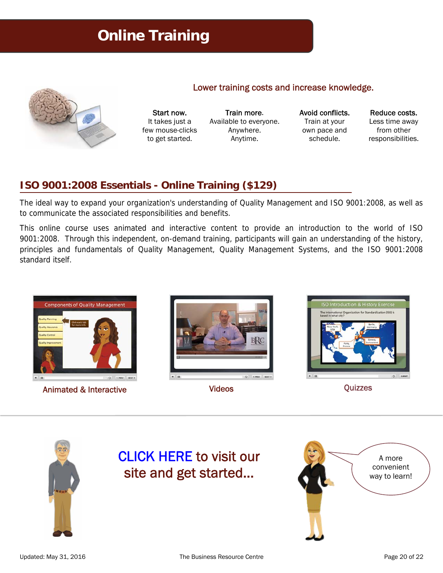# **Online Training**



<span id="page-25-0"></span>I

Start now. It takes just a few mouse-clicks to get started.

Train more. Available to everyone. Anywhere. Anytime.

Lower training costs and increase knowledge.

Avoid conflicts. Train at your own pace and schedule.

Reduce costs.

Less time away from other responsibilities.

# **ISO 9001:2008 Essentials - Online Training (\$129)**

The ideal way to expand your organization's understanding of Quality Management and ISO 9001:2008, as well as to communicate the associated responsibilities and benefits.

This online course uses animated and interactive content to provide an introduction to the world of ISO 9001:2008. Through this independent, on-demand training, participants will gain an understanding of the history, principles and fundamentals of Quality Management, Quality Management Systems, and the ISO 9001:2008 standard itself.



Animated & Interactive Contractive Contractive Cuizzes Videos Cuizzes Cuizzes







[CLICK HERE to visit our](http://www.thebrc.ca/our-services/training/online-training/)  site and get started...

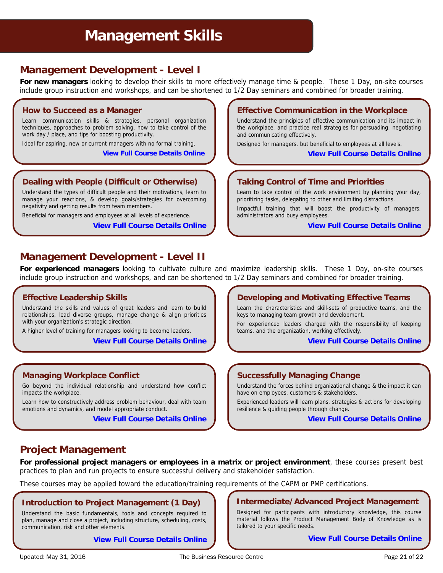# **Management Skills**

# **Management Development - Level I**

**For new managers** looking to develop their skills to more effectively manage time & people. These 1 Day, on-site courses include group instruction and workshops, and can be shortened to 1/2 Day seminars and combined for broader training.

# **How to Succeed as a Manager**

<span id="page-26-0"></span>

ì

 $\overline{\phantom{a}}$ 

 $\overline{\phantom{0}}$ 

Ĭ

Learn communication skills & strategies, personal organization<br>techniques, approaches to problem solving, how to take control of the [Learn communication skills & strategies, personal organization](http://www.thebrc.ca/course/how-to-succeed-as-a-manager/)  work day / place, and tips for boosting productivity.

work day / place, and tips for boosting productivity.<br>**Ideal for aspiring, new or current managers with no formal training.** 

**View Full Course Details Online** 

# **[Dealing with People \(Difficult or Otherwise\)](http://www.thebrc.ca/course/dealing-with-people-difficult-or-otherwise/)**

manage your reactions, & develop goals/strategies for overcoming<br>manage your reactions, & develop goals/strategies for overcoming Understand the types of difficult people and their motivations, learn to negativity and getting results from team members.

Beneficial for managers and employees at all levels of experience.

**View Full Course Details Online**

#### **[Effective Communication in the Workplace](http://www.thebrc.ca/course/effective-communication-in-the-workplace/)**

Understand the principles of effective communication and its impact in the workplace, and practice real strategies for persuading, negotiating and communicating effectively.

Designed for managers, but beneficial to employees at all levels.

**View Full Course Details Online** 

#### **[Taking Control of Time and Priorities](http://www.thebrc.ca/course/taking-control-of-time-and-priorities/)**

Learn to take control of the work environment by planning your day, prioritizing tasks, delegating to other and limiting distractions.

Impactful training that will boost the productivity of managers, administrators and busy employees.

**View Full Course Details Online**

# **Management Development - Level II**

**For experienced managers** looking to cultivate culture and maximize leadership skills. These 1 Day, on-site courses include group instruction and workshops, and can be shortened to 1/2 Day seminars and combined for broader training.

#### **Effective Leadership Skills**

 [Understand the skills and values of great leaders and learn to build](http://www.thebrc.ca/course/effective-leadership-skills/)  with your organization's strategic direction. relationships, lead diverse groups, manage change & align priorities

A higher level of training for managers looking to become leaders.<br>View Full Course Details On

**View Full Course Details Online**

### $\overline{\phantom{a}}$ **Managing Workplace Conflict**

**Managing Workplace Conflict**<br>Go beyond the individual relationship and understand how conflict impacts the workplace.

 emotions and dynamics, and model appropriate conduct. Learn how to constructively address problem behaviour, deal with team

**View Full Course Details Online**

#### **[Developing and Motivating Effective Teams](http://www.thebrc.ca/course/developing-and-motivating-effective-teams/)**

Learn the characteristics and skill-sets of productive teams, and the keys to managing team growth and development.

For experienced leaders charged with the responsibility of keeping teams, and the organization, working effectively.

**View Full Course Details Online**

#### **Successfully Managing Change**

[Understand the forces behind organizational change & the impact it can](http://www.thebrc.ca/course/successfully-managing-change/)  have on employees, customers & stakeholders.

Experienced leaders will learn plans, strategies & actions for developing resilience & guiding people through change.

**View Full Course Details Online**

# **Project Management**

**For professional project managers or employees in a matrix or project environment**, these courses present best practices to plan and run projects to ensure successful delivery and stakeholder satisfaction.

These courses may be applied toward the education/training requirements of the CAPM or PMP certifications.

### **Introduction to Project Management (1 Day)**

 communication, risk and other elements. Understand the basic fundamentals, tools and concepts required to plan, manage and close a project, including structure, scheduling, costs,

**View Full Course Details Online**

#### **[Intermediate/Advanced Project Management](http://www.thebrc.ca/course/intermediate-advanced-project-management/)**

Designed for participants with introductory knowledge, this course material follows the Product Management Body of Knowledge as is tailored to your specific needs.

**View Full Course Details Online**